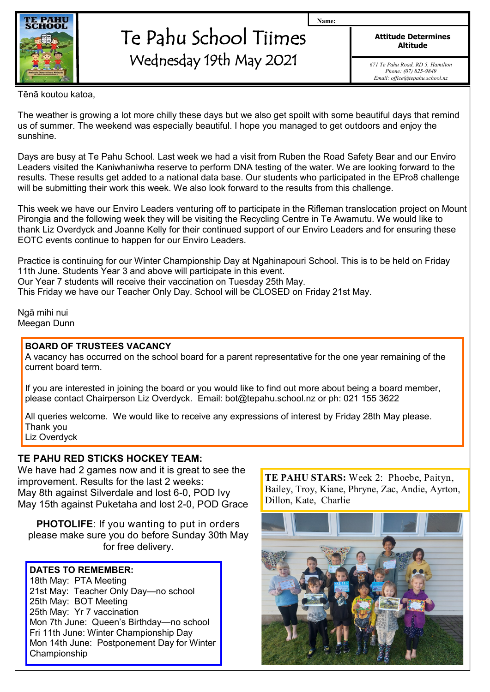

# Te Pahu School Tiimes Wednesday 19th May 2021

**Attitude Determines Altitude**

**Name:**

*671 Te Pahu Road, RD 5, Hamilton Phone: (07) 825-9849 Email: office@tepahu.school.nz*

Tēnā koutou katoa,

The weather is growing a lot more chilly these days but we also get spoilt with some beautiful days that remind us of summer. The weekend was especially beautiful. I hope you managed to get outdoors and enjoy the sunshine.

Days are busy at Te Pahu School. Last week we had a visit from Ruben the Road Safety Bear and our Enviro Leaders visited the Kaniwhaniwha reserve to perform DNA testing of the water. We are looking forward to the results. These results get added to a national data base. Our students who participated in the EPro8 challenge will be submitting their work this week. We also look forward to the results from this challenge.

This week we have our Enviro Leaders venturing off to participate in the Rifleman translocation project on Mount Pirongia and the following week they will be visiting the Recycling Centre in Te Awamutu. We would like to thank Liz Overdyck and Joanne Kelly for their continued support of our Enviro Leaders and for ensuring these EOTC events continue to happen for our Enviro Leaders.

Practice is continuing for our Winter Championship Day at Ngahinapouri School. This is to be held on Friday 11th June. Students Year 3 and above will participate in this event. Our Year 7 students will receive their vaccination on Tuesday 25th May. This Friday we have our Teacher Only Day. School will be CLOSED on Friday 21st May.

Ngā mihi nui Meegan Dunn

#### **BOARD OF TRUSTEES VACANCY**

A vacancy has occurred on the school board for a parent representative for the one year remaining of the current board term.

If you are interested in joining the board or you would like to find out more about being a board member, please contact Chairperson Liz Overdyck. Email: bot@tepahu.school.nz or ph: 021 155 3622

All queries welcome. We would like to receive any expressions of interest by Friday 28th May please. Thank you

Liz Overdyck

## **TE PAHU RED STICKS HOCKEY TEAM:**

We have had 2 games now and it is great to see the improvement. Results for the last 2 weeks: May 8th against Silverdale and lost 6-0, POD Ivy May 15th against Puketaha and lost 2-0, POD Grace

**PHOTOLIFE**: If you wanting to put in orders please make sure you do before Sunday 30th May for free delivery.

### **DATES TO REMEMBER:**

18th May: PTA Meeting 21st May: Teacher Only Day—no school 25th May: BOT Meeting 25th May: Yr 7 vaccination Mon 7th June: Queen's Birthday—no school Fri 11th June: Winter Championship Day Mon 14th June: Postponement Day for Winter Championship

**TE PAHU STARS:** Week 2: Phoebe, Paityn, Bailey, Troy, Kiane, Phryne, Zac, Andie, Ayrton, Dillon, Kate, Charlie